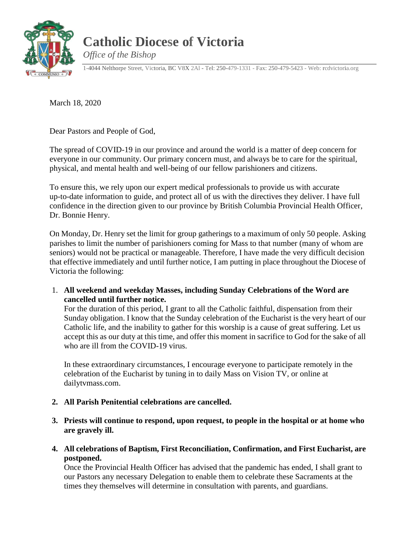



1-4044 Nelthorpe Street, Victoria, BC V8X 2Al - Tel: 250-479-1331 - Fax: 250-479-5423 - Web: rcdvictoria.org

March 18, 2020

Dear Pastors and People of God,

The spread of COVID-19 in our province and around the world is a matter of deep concern for everyone in our community. Our primary concern must, and always be to care for the spiritual, physical, and mental health and well-being of our fellow parishioners and citizens.

To ensure this, we rely upon our expert medical professionals to provide us with accurate up-to-date information to guide, and protect all of us with the directives they deliver. I have full confidence in the direction given to our province by British Columbia Provincial Health Officer, Dr. Bonnie Henry.

On Monday, Dr. Henry set the limit for group gatherings to a maximum of only 50 people. Asking parishes to limit the number of parishioners coming for Mass to that number (many of whom are seniors) would not be practical or manageable. Therefore, I have made the very difficult decision that effective immediately and until further notice, I am putting in place throughout the Diocese of Victoria the following:

1. **All weekend and weekday Masses, including Sunday Celebrations of the Word are cancelled until further notice.**

For the duration of this period, I grant to all the Catholic faithful, dispensation from their Sunday obligation. I know that the Sunday celebration of the Eucharist is the very heart of our Catholic life, and the inability to gather for this worship is a cause of great suffering. Let us accept this as our duty at this time, and offer this moment in sacrifice to God for the sake of all who are ill from the COVID-19 virus.

In these extraordinary circumstances, I encourage everyone to participate remotely in the celebration of the Eucharist by tuning in to daily Mass on Vision TV, or online at dailytvmass.com.

- **2. All Parish Penitential celebrations are cancelled.**
- **3. Priests will continue to respond, upon request, to people in the hospital or at home who are gravely ill.**
- **4. All celebrations of Baptism, First Reconciliation, Confirmation, and First Eucharist, are postponed.**

Once the Provincial Health Officer has advised that the pandemic has ended, I shall grant to our Pastors any necessary Delegation to enable them to celebrate these Sacraments at the times they themselves will determine in consultation with parents, and guardians.